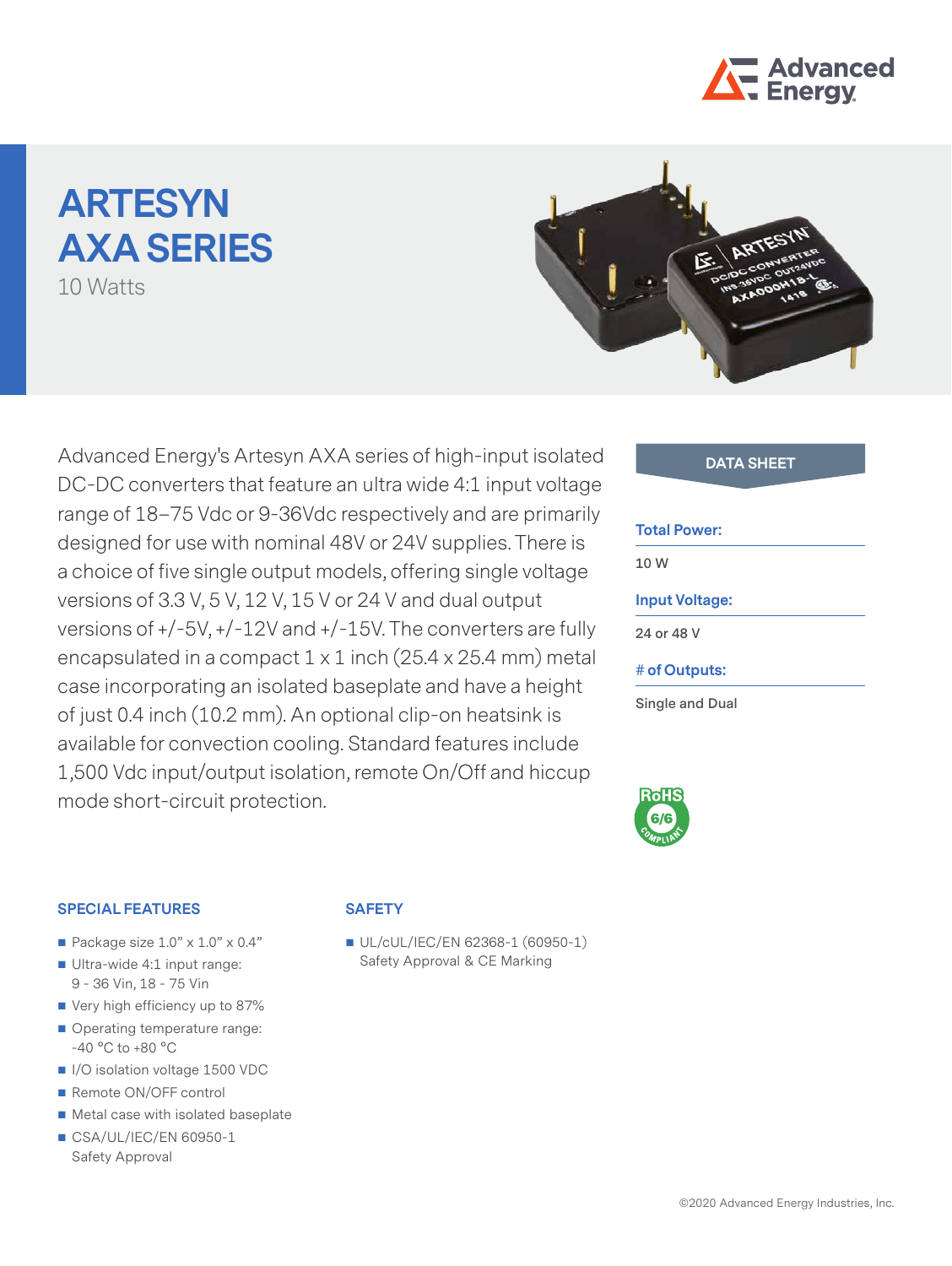

# **ARTESYN AXA SERIES**

10 Watts



Advanced Energy's Artesyn AXA series of high-input isolated **DATA SHEET** DC-DC converters that feature an ultra wide 4:1 input voltage range of 18–75 Vdc or 9-36Vdc respectively and are primarily designed for use with nominal 48V or 24V supplies. There is a choice of five single output models, offering single voltage versions of 3.3 V, 5 V, 12 V, 15 V or 24 V and dual output versions of +/-5V, +/-12V and +/-15V. The converters are fully encapsulated in a compact 1 x 1 inch (25.4 x 25.4 mm) metal case incorporating an isolated baseplate and have a height of just 0.4 inch (10.2 mm). An optional clip-on heatsink is available for convection cooling. Standard features include 1,500 Vdc input/output isolation, remote On/Off and hiccup mode short-circuit protection.

#### **Total Power:**

**10 W**

## **Input Voltage:**

**24 or 48 V**

**# of Outputs:**

**Single and Dual**



#### **SPECIAL FEATURES**

- Package size  $1.0" \times 1.0" \times 0.4"$
- Ultra-wide 4:1 input range: 9 - 36 Vin, 18 - 75 Vin
- Very high efficiency up to 87%
- Operating temperature range: -40 °C to +80 °C
- I/O isolation voltage 1500 VDC
- Remote ON/OFF control
- Metal case with isolated baseplate
- CSA/UL/IEC/EN 60950-1 Safety Approval

#### **SAFETY**

UL/cUL/IEC/EN 62368-1 (60950-1) Safety Approval & CE Marking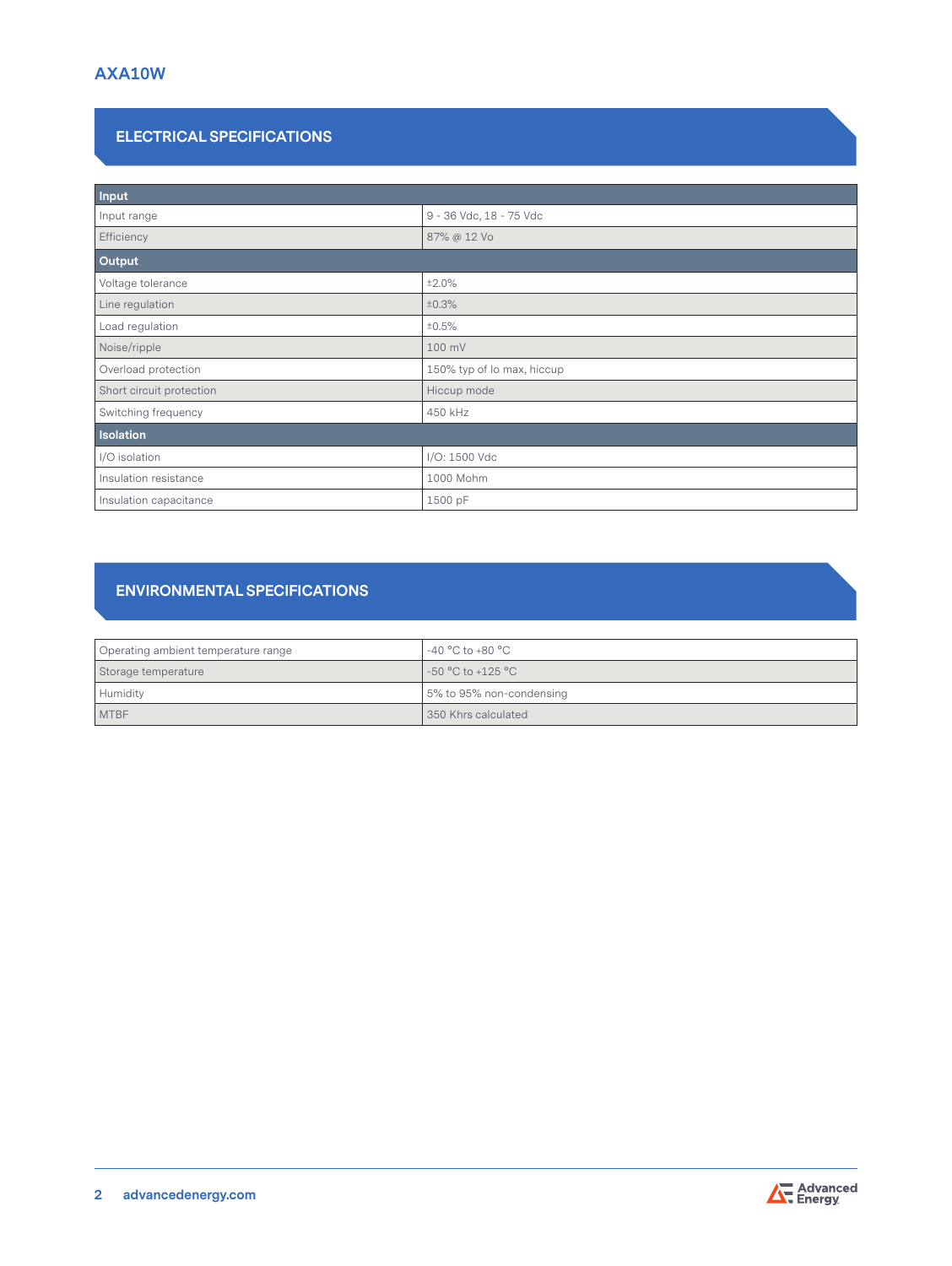# **ELECTRICAL SPECIFICATIONS**

| Input                    |                            |  |  |  |
|--------------------------|----------------------------|--|--|--|
| Input range              | 9 - 36 Vdc, 18 - 75 Vdc    |  |  |  |
| Efficiency               | 87% @ 12 Vo                |  |  |  |
| Output                   |                            |  |  |  |
| Voltage tolerance        | ±2.0%                      |  |  |  |
| Line regulation          | ±0.3%                      |  |  |  |
| Load regulation          | ±0.5%                      |  |  |  |
| Noise/ripple             | 100 mV                     |  |  |  |
| Overload protection      | 150% typ of lo max, hiccup |  |  |  |
| Short circuit protection | Hiccup mode                |  |  |  |
| Switching frequency      | 450 kHz                    |  |  |  |
| <b>Isolation</b>         |                            |  |  |  |
| I/O isolation            | I/O: 1500 Vdc              |  |  |  |
| Insulation resistance    | 1000 Mohm                  |  |  |  |
| Insulation capacitance   | 1500 pF                    |  |  |  |

# **ENVIRONMENTAL SPECIFICATIONS**

| Operating ambient temperature range | -40 °C to +80 °C          |
|-------------------------------------|---------------------------|
| Storage temperature                 | l -50 °C to +125 °C       |
| Humidity                            | 15% to 95% non-condensing |
| <b>MTBF</b>                         | 350 Khrs calculated       |

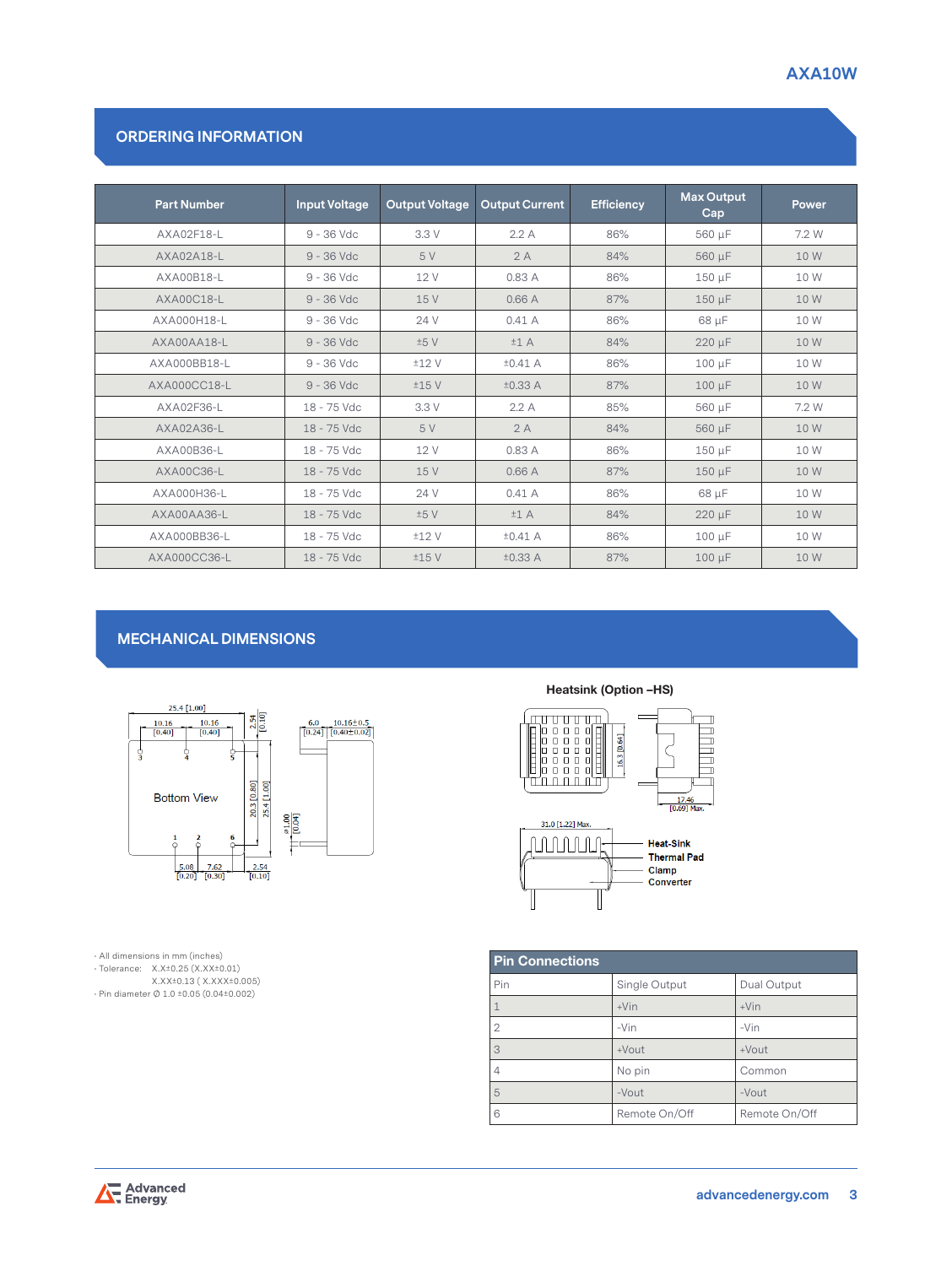# **ORDERING INFORMATION**

| <b>Part Number</b> | <b>Input Voltage</b> | <b>Output Voltage</b> | <b>Output Current</b> | <b>Efficiency</b> | <b>Max Output</b><br>Cap | Power |
|--------------------|----------------------|-----------------------|-----------------------|-------------------|--------------------------|-------|
| AXA02F18-L         | $9 - 36$ Vdc         | 3.3 V                 | 2.2A                  | 86%               | 560 µF                   | 7.2 W |
| AXA02A18-L         | $9 - 36$ Vdc         | 5 V                   | 2A                    | 84%               | 560 µF                   | 10 W  |
| AXA00B18-L         | $9 - 36$ Vdc         | 12 V                  | 0.83A                 | 86%               | 150 µF                   | 10 W  |
| AXA00C18-L         | $9 - 36$ Vdc         | 15 V                  | 0.66A                 | 87%               | $150 \mu F$              | 10 W  |
| AXA000H18-L        | 9 - 36 Vdc           | 24 V                  | 0.41A                 | 86%               | 68 µF                    | 10 W  |
| AXA00AA18-L        | $9 - 36$ Vdc         | ±5V                   | ±1A                   | 84%               | 220 µF                   | 10 W  |
| AXA000BB18-L       | $9 - 36$ Vdc         | ±12V                  | $±0.41$ A             | 86%               | $100 \mu F$              | 10 W  |
| AXA000CC18-L       | $9 - 36$ Vdc         | ±15V                  | ±0.33 A               | 87%               | $100 \mu F$              | 10 W  |
| AXA02F36-L         | 18 - 75 Vdc          | 3.3 V                 | 2.2A                  | 85%               | 560 µF                   | 7.2 W |
| AXA02A36-L         | 18 - 75 Vdc          | 5 V                   | 2A                    | 84%               | 560 µF                   | 10 W  |
| AXA00B36-L         | 18 - 75 Vdc          | 12 V                  | 0.83 A                | 86%               | 150 µF                   | 10 W  |
| AXA00C36-L         | 18 - 75 Vdc          | 15 V                  | 0.66A                 | 87%               | 150 µF                   | 10 W  |
| AXA000H36-L        | 18 - 75 Vdc          | 24 V                  | 0.41A                 | 86%               | 68 µF                    | 10 W  |
| AXA00AA36-L        | 18 - 75 Vdc          | ±5V                   | ±1A                   | 84%               | 220 µF                   | 10 W  |
| AXA000BB36-L       | 18 - 75 Vdc          | ±12V                  | $±0.41$ A             | 86%               | $100 \mu F$              | 10 W  |
| AXA000CC36-L       | 18 - 75 Vdc          | ±15V                  | ±0.33 A               | 87%               | $100 \mu F$              | 10 W  |

# **MECHANICAL DIMENSIONS**



• All dimensions in mm (inches) • Tolerance: X.X±0.25 (<X.XX>±0.01) [X.XX±](X.XX)0.13 ( <X.XXX>±0.005) • Pin diameter Ø 1.0 ±0.05 (0.04±0.002)

### Heatsink (Option –HS)



| <b>Pin Connections</b> |               |               |  |  |  |
|------------------------|---------------|---------------|--|--|--|
| Pin                    | Single Output | Dual Output   |  |  |  |
|                        | $+V$ in       | $+V$ in       |  |  |  |
| $\overline{2}$         | $-Vin$        | $-Vin$        |  |  |  |
| 3                      | +Vout         | $+$ Vout      |  |  |  |
| 4                      | No pin        | Common        |  |  |  |
| 5                      | $-V$ out      | $-V$ out      |  |  |  |
| 6                      | Remote On/Off | Remote On/Off |  |  |  |